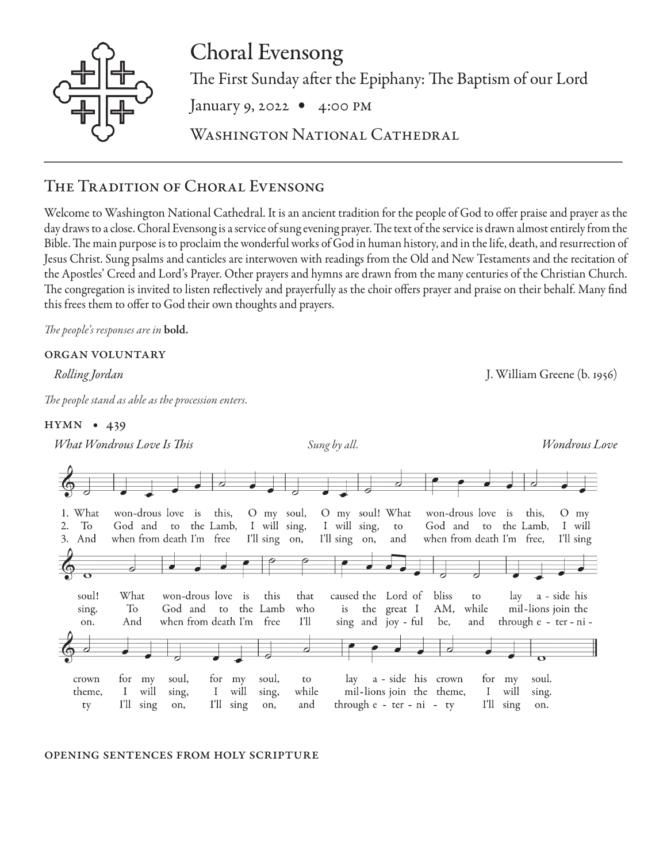

Choral Evensong The First Sunday after the Epiphany: The Baptism of our Lord January 9, 2022 • 4:00 PM

WASHINGTON NATIONAL CATHEDRAL

# The Tradition of Choral Evensong

Welcome to Washington National Cathedral. It is an ancient tradition for the people of God to offer praise and prayer as the day draws to a close. Choral Evensong is a service of sung evening prayer. The text of the service is drawn almost entirely from the Bible. The main purpose is to proclaim the wonderful works of God in human history, and in the life, death, and resurrection of Jesus Christ. Sung psalms and canticles are interwoven with readings from the Old and New Testaments and the recitation of the Apostles' Creed and Lord's Prayer. Other prayers and hymns are drawn from the many centuries of the Christian Church. The congregation is invited to listen reflectively and prayerfully as the choir offers prayer and praise on their behalf. Many find this frees them to offer to God their own thoughts and prayers.

*The people's responses are in* bold.

organ voluntary

*The people stand as able as the procession enters.*

## hymn • 439

*What Wondrous Love Is This Sung by all. Wondrous Love*

this, 1. What won-drous love is this, O my soul, O my soul! What won-drous love is  $O$  my  $\overline{2}$ . To God and to the Lamb, I will sing, I will sing, to God and to the Lamb, I will 3. And when from death I'm free I'll sing on, I'll sing on, and when from death I'm free, I'll sing won-drous love is soul! What this that caused the Lord of bliss a - side his  $t_{\Omega}$ lav sing. To God and to the Lamb who  $is$ the great I AM, while mil-lions join the And when from death I'm free I'll sing and joy - ful through e - ter - ni on. be, and a - side his crown for my soul, for my soul, to lay for my soul. crown will will while mil-lions join the theme, will theme,  $\mathbf{I}$ sing,  $\mathbf{I}$ sing,  $\bf{I}$ sing. on, ty I'll sing on, I'll sing and through  $e - ter - ni - ty$ I'll sing on.

## opening sentences from holy scripture

*Rolling Jordan* J. William Greene (b. 1956)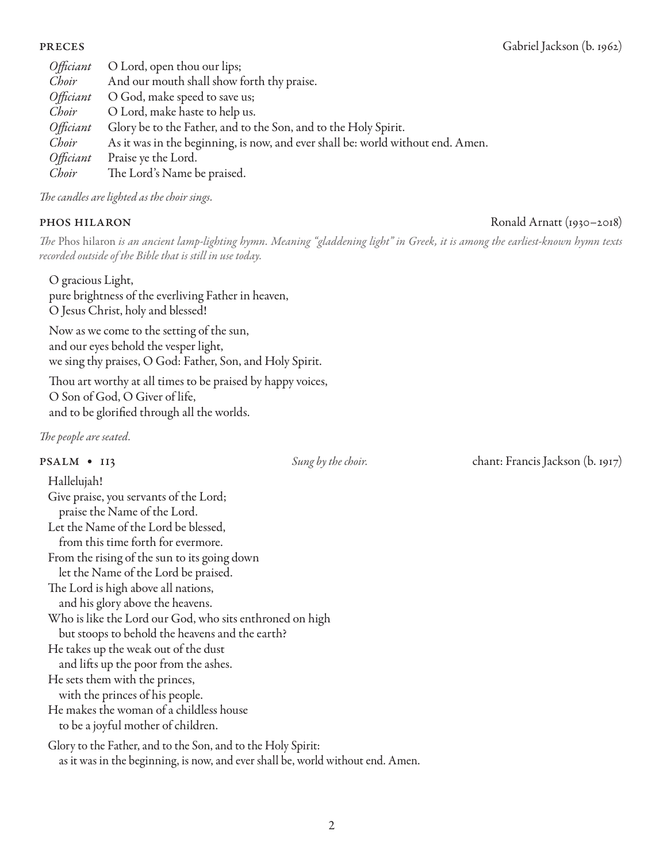*Officiant* O Lord, open thou our lips; *Choir* And our mouth shall show forth thy praise. *Officiant* O God, make speed to save us; *Choir* O Lord, make haste to help us. *Officiant* Glory be to the Father, and to the Son, and to the Holy Spirit. *Choir* As it was in the beginning, is now, and ever shall be: world without end. Amen. *Officiant* Praise ye the Lord. *Choir* The Lord's Name be praised.

*The candles are lighted as the choir sings.*

*The* Phos hilaron *is an ancient lamp-lighting hymn. Meaning "gladdening light" in Greek, it is among the earliest-known hymn texts recorded outside of the Bible that is still in use today.*

O gracious Light, pure brightness of the everliving Father in heaven, O Jesus Christ, holy and blessed! Now as we come to the setting of the sun, and our eyes behold the vesper light, we sing thy praises, O God: Father, Son, and Holy Spirit. Thou art worthy at all times to be praised by happy voices, O Son of God, O Giver of life, and to be glorified through all the worlds.

*The people are seated.* 

**PSALM • 113** *Sung by the choir.* chant: Francis Jackson (b. 1917)

| Hallelujah!                                                                     |
|---------------------------------------------------------------------------------|
| Give praise, you servants of the Lord;                                          |
| praise the Name of the Lord.                                                    |
| Let the Name of the Lord be blessed,                                            |
| from this time forth for evermore.                                              |
| From the rising of the sun to its going down                                    |
| let the Name of the Lord be praised.                                            |
| The Lord is high above all nations,                                             |
| and his glory above the heavens.                                                |
| Who is like the Lord our God, who sits enthroned on high                        |
| but stoops to behold the heavens and the earth?                                 |
| He takes up the weak out of the dust                                            |
| and lifts up the poor from the ashes.                                           |
| He sets them with the princes,                                                  |
| with the princes of his people.                                                 |
| He makes the woman of a childless house                                         |
| to be a joyful mother of children.                                              |
| Glory to the Father, and to the Son, and to the Holy Spirit:                    |
| as it was in the beginning, is now, and ever shall be, world without end. Amen. |

## phos hilaron Ronald Arnatt (1930–2018)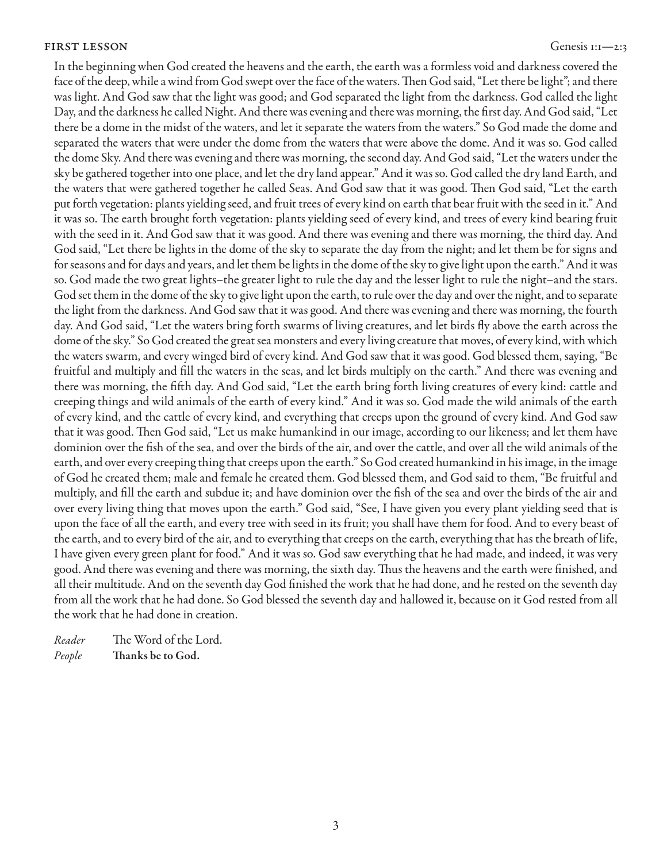#### first lesson Genesis 1:1—2:3

In the beginning when God created the heavens and the earth, the earth was a formless void and darkness covered the face of the deep, while a wind from God swept over the face of the waters. Then God said, "Let there be light"; and there was light. And God saw that the light was good; and God separated the light from the darkness. God called the light Day, and the darkness he called Night. And there was evening and there was morning, the first day. And God said, "Let there be a dome in the midst of the waters, and let it separate the waters from the waters." So God made the dome and separated the waters that were under the dome from the waters that were above the dome. And it was so. God called the dome Sky. And there was evening and there was morning, the second day. And God said, "Let the waters under the sky be gathered together into one place, and let the dry land appear." And it was so. God called the dry land Earth, and the waters that were gathered together he called Seas. And God saw that it was good. Then God said, "Let the earth put forth vegetation: plants yielding seed, and fruit trees of every kind on earth that bear fruit with the seed in it." And it was so. The earth brought forth vegetation: plants yielding seed of every kind, and trees of every kind bearing fruit with the seed in it. And God saw that it was good. And there was evening and there was morning, the third day. And God said, "Let there be lights in the dome of the sky to separate the day from the night; and let them be for signs and for seasons and for days and years, and let them be lights in the dome of the sky to give light upon the earth." And it was so. God made the two great lights–the greater light to rule the day and the lesser light to rule the night–and the stars. God set them in the dome of the sky to give light upon the earth, to rule over the day and over the night, and to separate the light from the darkness. And God saw that it was good. And there was evening and there was morning, the fourth day. And God said, "Let the waters bring forth swarms of living creatures, and let birds fly above the earth across the dome of the sky." So God created the great sea monsters and every living creature that moves, of every kind, with which the waters swarm, and every winged bird of every kind. And God saw that it was good. God blessed them, saying, "Be fruitful and multiply and fill the waters in the seas, and let birds multiply on the earth." And there was evening and there was morning, the fifth day. And God said, "Let the earth bring forth living creatures of every kind: cattle and creeping things and wild animals of the earth of every kind." And it was so. God made the wild animals of the earth of every kind, and the cattle of every kind, and everything that creeps upon the ground of every kind. And God saw that it was good. Then God said, "Let us make humankind in our image, according to our likeness; and let them have dominion over the fish of the sea, and over the birds of the air, and over the cattle, and over all the wild animals of the earth, and over every creeping thing that creeps upon the earth." So God created humankind in his image, in the image of God he created them; male and female he created them. God blessed them, and God said to them, "Be fruitful and multiply, and fill the earth and subdue it; and have dominion over the fish of the sea and over the birds of the air and over every living thing that moves upon the earth." God said, "See, I have given you every plant yielding seed that is upon the face of all the earth, and every tree with seed in its fruit; you shall have them for food. And to every beast of the earth, and to every bird of the air, and to everything that creeps on the earth, everything that has the breath of life, I have given every green plant for food." And it was so. God saw everything that he had made, and indeed, it was very good. And there was evening and there was morning, the sixth day. Thus the heavens and the earth were finished, and all their multitude. And on the seventh day God finished the work that he had done, and he rested on the seventh day from all the work that he had done. So God blessed the seventh day and hallowed it, because on it God rested from all the work that he had done in creation.

*Reader* The Word of the Lord. *People* Thanks be to God.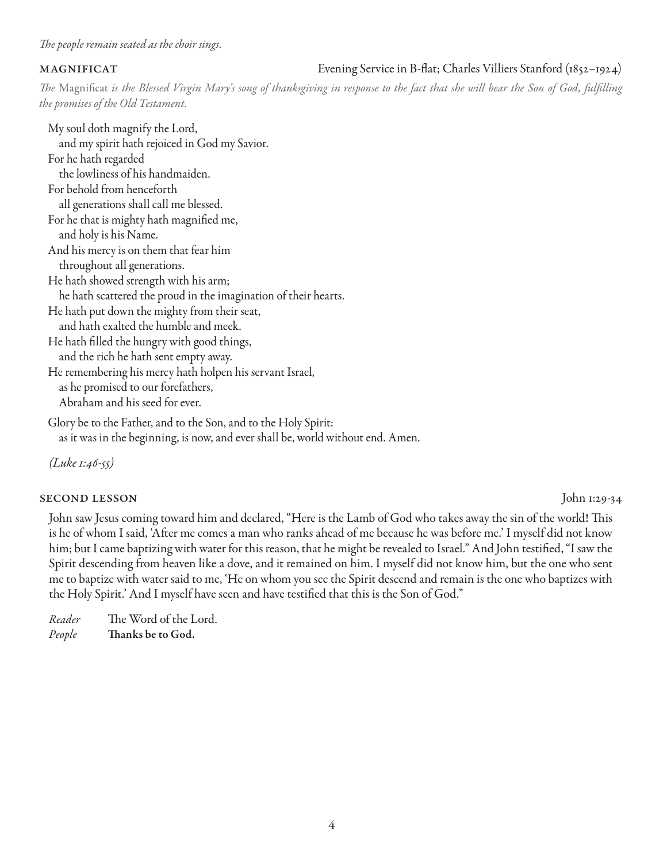## magnificat Evening Service in B-flat; Charles Villiers Stanford (1852–1924)

*The* Magnificat *is the Blessed Virgin Mary's song of thanksgiving in response to the fact that she will bear the Son of God, fulfilling the promises of the Old Testament.* 

My soul doth magnify the Lord, and my spirit hath rejoiced in God my Savior. For he hath regarded the lowliness of his handmaiden. For behold from henceforth all generations shall call me blessed. For he that is mighty hath magnified me, and holy is his Name. And his mercy is on them that fear him throughout all generations. He hath showed strength with his arm; he hath scattered the proud in the imagination of their hearts. He hath put down the mighty from their seat, and hath exalted the humble and meek. He hath filled the hungry with good things, and the rich he hath sent empty away. He remembering his mercy hath holpen his servant Israel, as he promised to our forefathers, Abraham and his seed for ever.

Glory be to the Father, and to the Son, and to the Holy Spirit: as it was in the beginning, is now, and ever shall be, world without end. Amen.

*(Luke 1:46-55)*

## second lesson John 1:29-34

John saw Jesus coming toward him and declared, "Here is the Lamb of God who takes away the sin of the world! This is he of whom I said, 'After me comes a man who ranks ahead of me because he was before me.' I myself did not know him; but I came baptizing with water for this reason, that he might be revealed to Israel." And John testified, "I saw the Spirit descending from heaven like a dove, and it remained on him. I myself did not know him, but the one who sent me to baptize with water said to me, 'He on whom you see the Spirit descend and remain is the one who baptizes with the Holy Spirit.' And I myself have seen and have testified that this is the Son of God."

*Reader* The Word of the Lord. *People* Thanks be to God.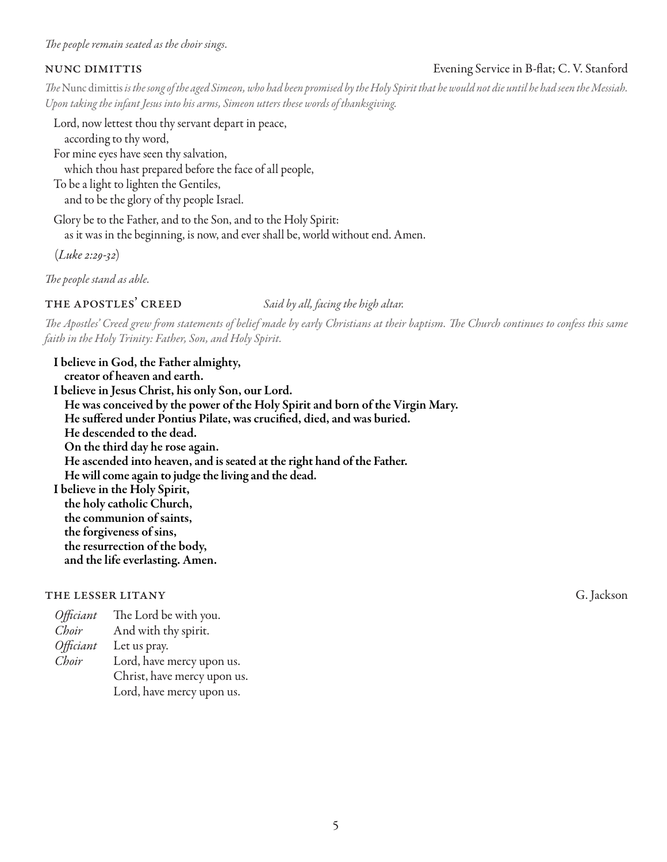### *The people remain seated as the choir sings.*

## nunc dimittis Evening Service in B-flat; C. V. Stanford

*The* Nunc dimittis *is the song of the aged Simeon, who had been promised by the Holy Spirit that he would not die until he had seen the Messiah. Upon taking the infant Jesus into his arms, Simeon utters these words of thanksgiving.* 

Lord, now lettest thou thy servant depart in peace, according to thy word, For mine eyes have seen thy salvation, which thou hast prepared before the face of all people, To be a light to lighten the Gentiles, and to be the glory of thy people Israel. Glory be to the Father, and to the Son, and to the Holy Spirit:

as it was in the beginning, is now, and ever shall be, world without end. Amen.

(*Luke 2:29-32*)

*The people stand as able.*

THE APOSTLES' CREED *Said by all, facing the high altar.* 

*The Apostles' Creed grew from statements of belief made by early Christians at their baptism. The Church continues to confess this same faith in the Holy Trinity: Father, Son, and Holy Spirit.*

| I believe in God, the Father almighty,                                        |
|-------------------------------------------------------------------------------|
| creator of heaven and earth.                                                  |
| I believe in Jesus Christ, his only Son, our Lord.                            |
| He was conceived by the power of the Holy Spirit and born of the Virgin Mary. |
| He suffered under Pontius Pilate, was crucified, died, and was buried.        |
| He descended to the dead.                                                     |
| On the third day he rose again.                                               |
| He ascended into heaven, and is seated at the right hand of the Father.       |
| He will come again to judge the living and the dead.                          |
| I believe in the Holy Spirit,                                                 |
| the holy catholic Church,                                                     |
| the communion of saints,                                                      |
| the forgiveness of sins,                                                      |
| the resurrection of the body,                                                 |
| and the life everlasting. Amen.                                               |
|                                                                               |

## the lesser litany G. Jackson

| Officiant | The Lord be with you.       |
|-----------|-----------------------------|
| Choir     | And with thy spirit.        |
| Officiant | Let us pray.                |
| Choir     | Lord, have mercy upon us.   |
|           | Christ, have mercy upon us. |
|           | Lord, have mercy upon us.   |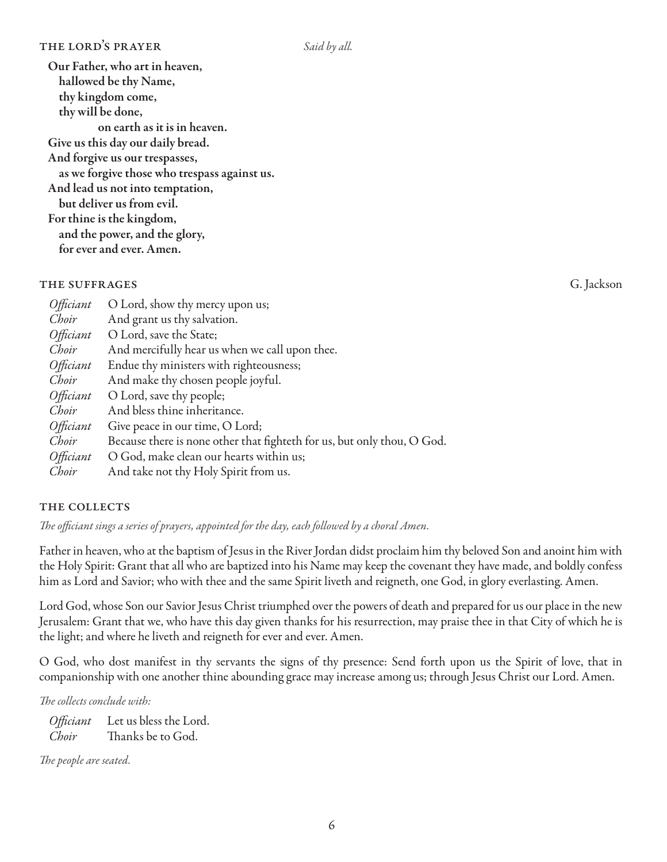### THE LORD'S PRAYER *Said by all.*

Our Father, who art in heaven, hallowed be thy Name, thy kingdom come, thy will be done, on earth as it is in heaven. Give us this day our daily bread. And forgive us our trespasses, as we forgive those who trespass against us. And lead us not into temptation, but deliver us from evil. For thine is the kingdom, and the power, and the glory, for ever and ever. Amen.

## THE SUFFRAGES G. Jackson

| Officiant | O Lord, show thy mercy upon us;                                         |
|-----------|-------------------------------------------------------------------------|
| Choir     | And grant us thy salvation.                                             |
| Officiant | O Lord, save the State;                                                 |
| Choir     | And mercifully hear us when we call upon thee.                          |
| Officiant | Endue thy ministers with righteousness;                                 |
| Choir     | And make thy chosen people joyful.                                      |
| Officiant | O Lord, save thy people;                                                |
| Choir     | And bless thine inheritance.                                            |
| Officiant | Give peace in our time, O Lord;                                         |
| Choir     | Because there is none other that fighteth for us, but only thou, O God. |
| Officiant | O God, make clean our hearts within us;                                 |
| Choir     | And take not thy Holy Spirit from us.                                   |

## THE COLLECTS

*The officiant sings a series of prayers, appointed for the day, each followed by a choral Amen.* 

Father in heaven, who at the baptism of Jesus in the River Jordan didst proclaim him thy beloved Son and anoint him with the Holy Spirit: Grant that all who are baptized into his Name may keep the covenant they have made, and boldly confess him as Lord and Savior; who with thee and the same Spirit liveth and reigneth, one God, in glory everlasting. Amen.

Lord God, whose Son our Savior Jesus Christ triumphed over the powers of death and prepared for us our place in the new Jerusalem: Grant that we, who have this day given thanks for his resurrection, may praise thee in that City of which he is the light; and where he liveth and reigneth for ever and ever. Amen.

O God, who dost manifest in thy servants the signs of thy presence: Send forth upon us the Spirit of love, that in companionship with one another thine abounding grace may increase among us; through Jesus Christ our Lord. Amen.

*The collects conclude with:* 

*Officiant* Let us bless the Lord. *Choir* Thanks be to God.

*The people are seated.*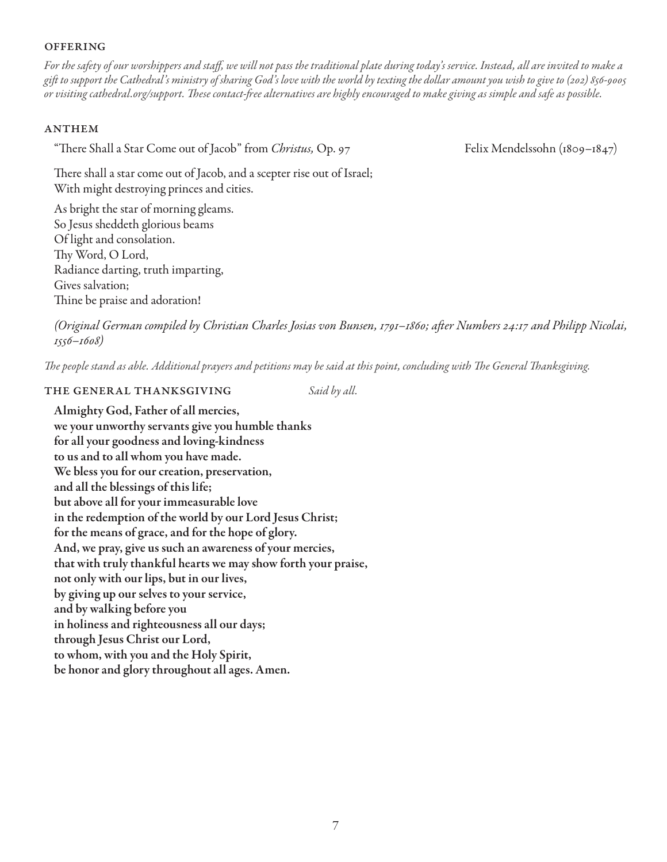### **OFFERING**

*For the safety of our worshippers and staff, we will not pass the traditional plate during today's service. Instead, all are invited to make a gift to support the Cathedral's ministry of sharing God's love with the world by texting the dollar amount you wish to give to (202) 856-9005 or visiting cathedral.org/support. These contact-free alternatives are highly encouraged to make giving as simple and safe as possible.* 

### **ANTHEM**

"There Shall a Star Come out of Jacob" from *Christus,* Op. 97 Felix Mendelssohn (1809–1847)

There shall a star come out of Jacob, and a scepter rise out of Israel; With might destroying princes and cities.

As bright the star of morning gleams. So Jesus sheddeth glorious beams Of light and consolation. Thy Word, O Lord, Radiance darting, truth imparting, Gives salvation; Thine be praise and adoration!

*(Original German compiled by Christian Charles Josias von Bunsen, 1791–1860; after Numbers 24:17 and Philipp Nicolai, 1556–1608)*

*The people stand as able. Additional prayers and petitions may be said at this point, concluding with The General Thanksgiving.*

### THE GENERAL THANKSGIVING *Said by all.*

Almighty God, Father of all mercies, we your unworthy servants give you humble thanks for all your goodness and loving-kindness to us and to all whom you have made. We bless you for our creation, preservation, and all the blessings of this life; but above all for your immeasurable love in the redemption of the world by our Lord Jesus Christ; for the means of grace, and for the hope of glory. And, we pray, give us such an awareness of your mercies, that with truly thankful hearts we may show forth your praise, not only with our lips, but in our lives, by giving up our selves to your service, and by walking before you in holiness and righteousness all our days; through Jesus Christ our Lord, to whom, with you and the Holy Spirit, be honor and glory throughout all ages. Amen.